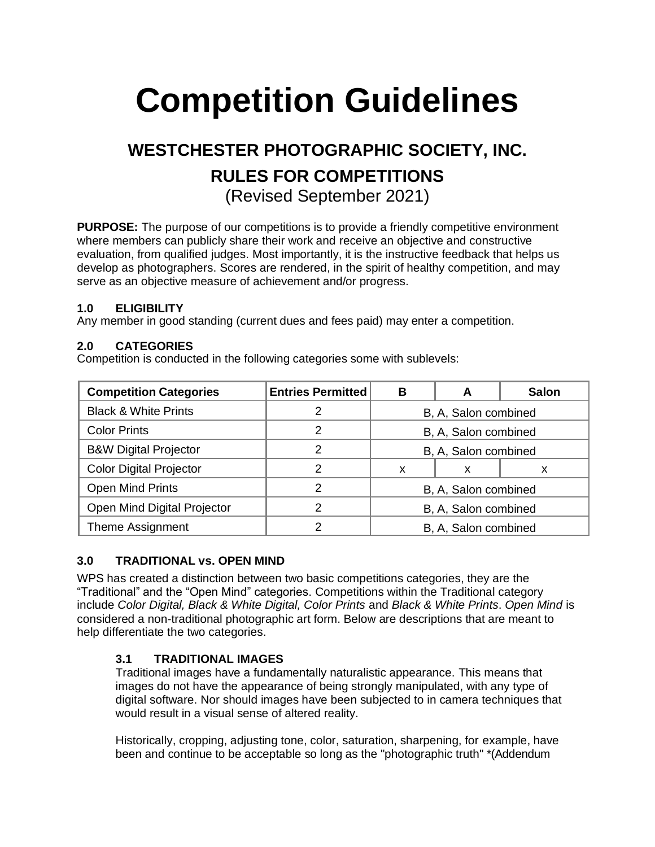# **Competition Guidelines**

# **WESTCHESTER PHOTOGRAPHIC SOCIETY, INC. RULES FOR COMPETITIONS** (Revised September 2021)

**PURPOSE:** The purpose of our competitions is to provide a friendly competitive environment where members can publicly share their work and receive an objective and constructive evaluation, from qualified judges. Most importantly, it is the instructive feedback that helps us develop as photographers. Scores are rendered, in the spirit of healthy competition, and may serve as an objective measure of achievement and/or progress.

#### **1.0 ELIGIBILITY**

Any member in good standing (current dues and fees paid) may enter a competition.

# **2.0 CATEGORIES**

Competition is conducted in the following categories some with sublevels:

| <b>Competition Categories</b>    | <b>Entries Permitted</b> | в                    | A | <b>Salon</b> |
|----------------------------------|--------------------------|----------------------|---|--------------|
| <b>Black &amp; White Prints</b>  |                          | B, A, Salon combined |   |              |
| <b>Color Prints</b>              | າ                        | B, A, Salon combined |   |              |
| <b>B&amp;W Digital Projector</b> | 2                        | B, A, Salon combined |   |              |
| <b>Color Digital Projector</b>   | າ                        | X                    | х | х            |
| <b>Open Mind Prints</b>          | 2                        | B, A, Salon combined |   |              |
| Open Mind Digital Projector      | 2                        | B, A, Salon combined |   |              |
| <b>Theme Assignment</b>          |                          | B, A, Salon combined |   |              |

# **3.0 TRADITIONAL vs. OPEN MIND**

WPS has created a distinction between two basic competitions categories, they are the "Traditional" and the "Open Mind" categories. Competitions within the Traditional category include *Color Digital, Black & White Digital, Color Prints* and *Black & White Prints*. *Open Mind* is considered a non-traditional photographic art form. Below are descriptions that are meant to help differentiate the two categories.

# **3.1 TRADITIONAL IMAGES**

Traditional images have a fundamentally naturalistic appearance. This means that images do not have the appearance of being strongly manipulated, with any type of digital software. Nor should images have been subjected to in camera techniques that would result in a visual sense of altered reality.

Historically, cropping, adjusting tone, color, saturation, sharpening, for example, have been and continue to be acceptable so long as the "photographic truth" \*(Addendum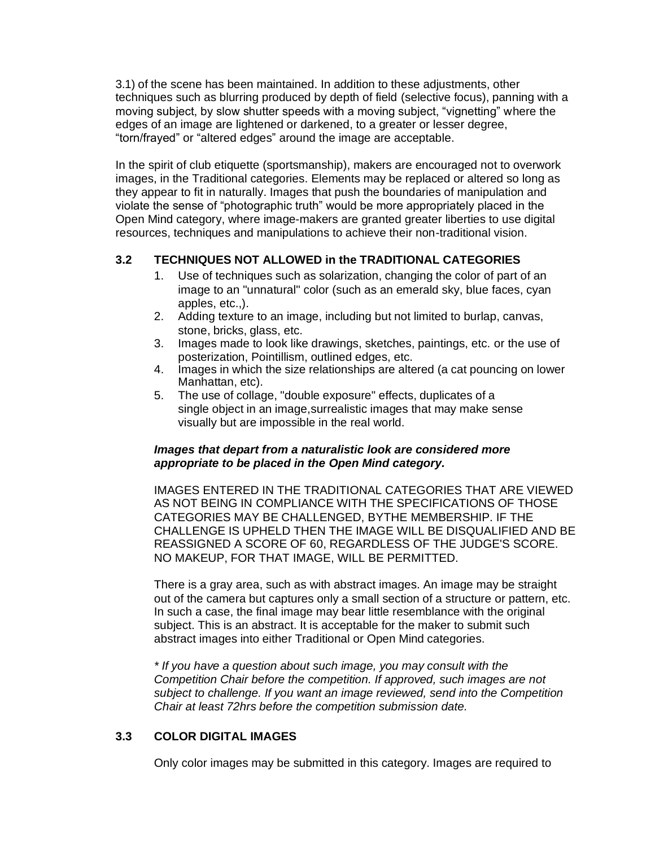3.1) of the scene has been maintained. In addition to these adjustments, other techniques such as blurring produced by depth of field (selective focus), panning with a moving subject, by slow shutter speeds with a moving subject, "vignetting" where the edges of an image are lightened or darkened, to a greater or lesser degree, "torn/frayed" or "altered edges" around the image are acceptable.

In the spirit of club etiquette (sportsmanship), makers are encouraged not to overwork images, in the Traditional categories. Elements may be replaced or altered so long as they appear to fit in naturally. Images that push the boundaries of manipulation and violate the sense of "photographic truth" would be more appropriately placed in the Open Mind category, where image-makers are granted greater liberties to use digital resources, techniques and manipulations to achieve their non-traditional vision.

# **3.2 TECHNIQUES NOT ALLOWED in the TRADITIONAL CATEGORIES**

- 1. Use of techniques such as solarization, changing the color of part of an image to an "unnatural" color (such as an emerald sky, blue faces, cyan apples, etc.,).
- 2. Adding texture to an image, including but not limited to burlap, canvas, stone, bricks, glass, etc.
- 3. Images made to look like drawings, sketches, paintings, etc. or the use of posterization, Pointillism, outlined edges, etc.
- 4. Images in which the size relationships are altered (a cat pouncing on lower Manhattan, etc).
- 5. The use of collage, "double exposure" effects, duplicates of a single object in an image,surrealistic images that may make sense visually but are impossible in the real world.

#### *Images that depart from a naturalistic look are considered more appropriate to be placed in the Open Mind category.*

IMAGES ENTERED IN THE TRADITIONAL CATEGORIES THAT ARE VIEWED AS NOT BEING IN COMPLIANCE WITH THE SPECIFICATIONS OF THOSE CATEGORIES MAY BE CHALLENGED, BYTHE MEMBERSHIP. IF THE CHALLENGE IS UPHELD THEN THE IMAGE WILL BE DISQUALIFIED AND BE REASSIGNED A SCORE OF 60, REGARDLESS OF THE JUDGE'S SCORE. NO MAKEUP, FOR THAT IMAGE, WILL BE PERMITTED.

There is a gray area, such as with abstract images. An image may be straight out of the camera but captures only a small section of a structure or pattern, etc. In such a case, the final image may bear little resemblance with the original subject. This is an abstract. It is acceptable for the maker to submit such abstract images into either Traditional or Open Mind categories.

*\* If you have a question about such image, you may consult with the Competition Chair before the competition. If approved, such images are not subject to challenge. If you want an image reviewed, send into the Competition Chair at least 72hrs before the competition submission date.*

# **3.3 COLOR DIGITAL IMAGES**

Only color images may be submitted in this category. Images are required to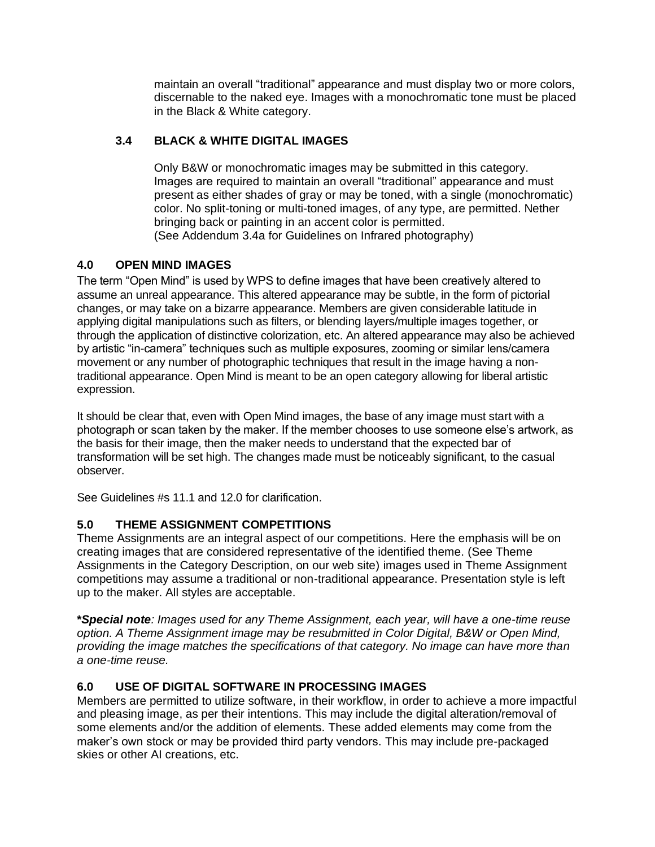maintain an overall "traditional" appearance and must display two or more colors, discernable to the naked eye. Images with a monochromatic tone must be placed in the Black & White category.

# **3.4 BLACK & WHITE DIGITAL IMAGES**

Only B&W or monochromatic images may be submitted in this category. Images are required to maintain an overall "traditional" appearance and must present as either shades of gray or may be toned, with a single (monochromatic) color. No split-toning or multi-toned images, of any type, are permitted. Nether bringing back or painting in an accent color is permitted. (See Addendum 3.4a for Guidelines on Infrared photography)

# **4.0 OPEN MIND IMAGES**

The term "Open Mind" is used by WPS to define images that have been creatively altered to assume an unreal appearance. This altered appearance may be subtle, in the form of pictorial changes, or may take on a bizarre appearance. Members are given considerable latitude in applying digital manipulations such as filters, or blending layers/multiple images together, or through the application of distinctive colorization, etc. An altered appearance may also be achieved by artistic "in-camera" techniques such as multiple exposures, zooming or similar lens/camera movement or any number of photographic techniques that result in the image having a nontraditional appearance. Open Mind is meant to be an open category allowing for liberal artistic expression.

It should be clear that, even with Open Mind images, the base of any image must start with a photograph or scan taken by the maker. If the member chooses to use someone else's artwork, as the basis for their image, then the maker needs to understand that the expected bar of transformation will be set high. The changes made must be noticeably significant, to the casual observer.

See Guidelines #s 11.1 and 12.0 for clarification.

# **5.0 THEME ASSIGNMENT COMPETITIONS**

Theme Assignments are an integral aspect of our competitions. Here the emphasis will be on creating images that are considered representative of the identified theme. (See Theme Assignments in the Category Description, on our web site) images used in Theme Assignment competitions may assume a traditional or non-traditional appearance. Presentation style is left up to the maker. All styles are acceptable.

**\****Special note: Images used for any Theme Assignment, each year, will have a one-time reuse option. A Theme Assignment image may be resubmitted in Color Digital, B&W or Open Mind, providing the image matches the specifications of that category. No image can have more than a one-time reuse.*

# **6.0 USE OF DIGITAL SOFTWARE IN PROCESSING IMAGES**

Members are permitted to utilize software, in their workflow, in order to achieve a more impactful and pleasing image, as per their intentions. This may include the digital alteration/removal of some elements and/or the addition of elements. These added elements may come from the maker's own stock or may be provided third party vendors. This may include pre-packaged skies or other AI creations, etc.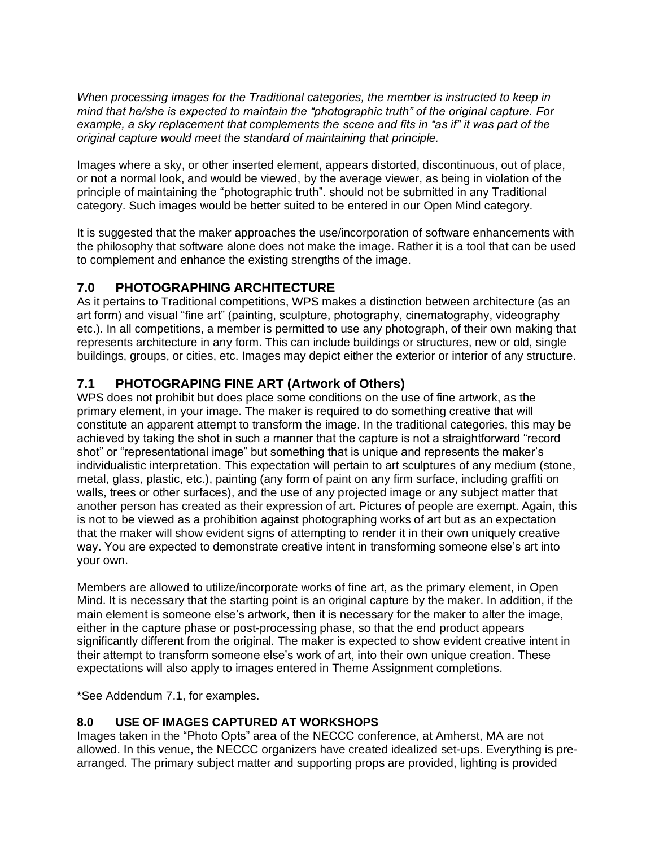*When processing images for the Traditional categories, the member is instructed to keep in mind that he/she is expected to maintain the "photographic truth" of the original capture. For example, a sky replacement that complements the scene and fits in "as if" it was part of the original capture would meet the standard of maintaining that principle.*

Images where a sky, or other inserted element, appears distorted, discontinuous, out of place, or not a normal look, and would be viewed, by the average viewer, as being in violation of the principle of maintaining the "photographic truth". should not be submitted in any Traditional category. Such images would be better suited to be entered in our Open Mind category.

It is suggested that the maker approaches the use/incorporation of software enhancements with the philosophy that software alone does not make the image. Rather it is a tool that can be used to complement and enhance the existing strengths of the image.

# **7.0 PHOTOGRAPHING ARCHITECTURE**

As it pertains to Traditional competitions, WPS makes a distinction between architecture (as an art form) and visual "fine art" (painting, sculpture, photography, cinematography, videography etc.). In all competitions, a member is permitted to use any photograph, of their own making that represents architecture in any form. This can include buildings or structures, new or old, single buildings, groups, or cities, etc. Images may depict either the exterior or interior of any structure.

# **7.1 PHOTOGRAPING FINE ART (Artwork of Others)**

WPS does not prohibit but does place some conditions on the use of fine artwork, as the primary element, in your image. The maker is required to do something creative that will constitute an apparent attempt to transform the image. In the traditional categories, this may be achieved by taking the shot in such a manner that the capture is not a straightforward "record shot" or "representational image" but something that is unique and represents the maker's individualistic interpretation. This expectation will pertain to art sculptures of any medium (stone, metal, glass, plastic, etc.), painting (any form of paint on any firm surface, including graffiti on walls, trees or other surfaces), and the use of any projected image or any subject matter that another person has created as their expression of art. Pictures of people are exempt. Again, this is not to be viewed as a prohibition against photographing works of art but as an expectation that the maker will show evident signs of attempting to render it in their own uniquely creative way. You are expected to demonstrate creative intent in transforming someone else's art into your own.

Members are allowed to utilize/incorporate works of fine art, as the primary element, in Open Mind. It is necessary that the starting point is an original capture by the maker. In addition, if the main element is someone else's artwork, then it is necessary for the maker to alter the image, either in the capture phase or post-processing phase, so that the end product appears significantly different from the original. The maker is expected to show evident creative intent in their attempt to transform someone else's work of art, into their own unique creation. These expectations will also apply to images entered in Theme Assignment completions.

\*See Addendum 7.1, for examples.

# **8.0 USE OF IMAGES CAPTURED AT WORKSHOPS**

Images taken in the "Photo Opts" area of the NECCC conference, at Amherst, MA are not allowed. In this venue, the NECCC organizers have created idealized set-ups. Everything is prearranged. The primary subject matter and supporting props are provided, lighting is provided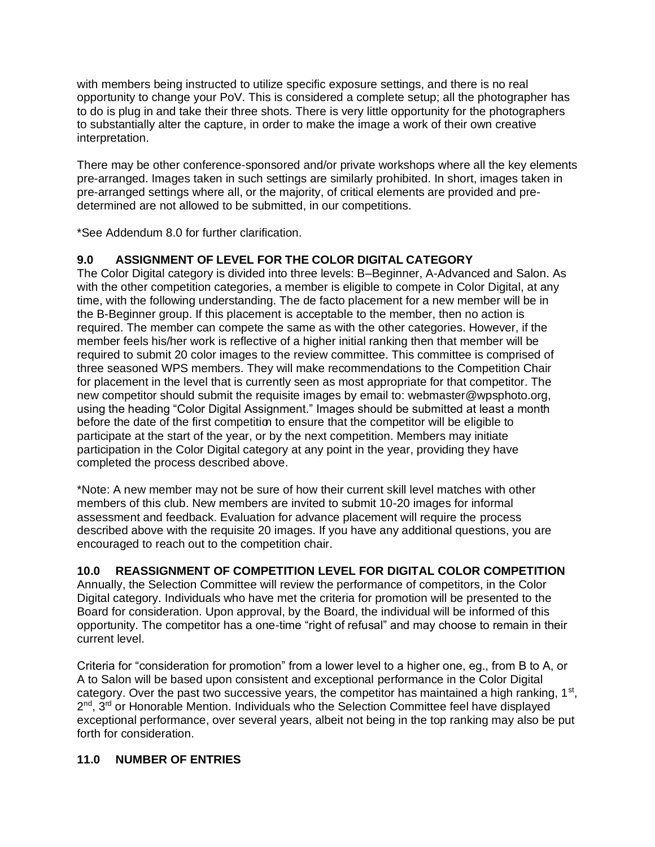with members being instructed to utilize specific exposure settings, and there is no real opportunity to change your PoV. This is considered a complete setup; all the photographer has to do is plug in and take their three shots. There is very little opportunity for the photographers to substantially alter the capture, in order to make the image a work of their own creative interpretation.

There may be other conference-sponsored and/or private workshops where all the key elements pre-arranged. Images taken in such settings are similarly prohibited. In short, images taken in pre-arranged settings where all, or the majority, of critical elements are provided and predetermined are not allowed to be submitted, in our competitions.

\*See Addendum 8.0 for further clarification.

# **9.0 ASSIGNMENT OF LEVEL FOR THE COLOR DIGITAL CATEGORY**

The Color Digital category is divided into three levels: B–Beginner, A-Advanced and Salon. As with the other competition categories, a member is eligible to compete in Color Digital, at any time, with the following understanding. The de facto placement for a new member will be in the B-Beginner group. If this placement is acceptable to the member, then no action is required. The member can compete the same as with the other categories. However, if the member feels his/her work is reflective of a higher initial ranking then that member will be required to submit 20 color images to the review committee. This committee is comprised of three seasoned WPS members. They will make recommendations to the Competition Chair for placement in the level that is currently seen as most appropriate for that competitor. The new competitor should submit the requisite images by email to: [webmaster@wpsphoto.org,](mailto:webmaster@wpsphoto.org) using the heading "Color Digital Assignment." Images should be submitted at least a month before the date of the first competition to ensure that the competitor will be eligible to participate at the start of the year, or by the next competition. Members may initiate participation in the Color Digital category at any point in the year, providing they have completed the process described above.

\*Note: A new member may not be sure of how their current skill level matches with other members of this club. New members are invited to submit 10-20 images for informal assessment and feedback. Evaluation for advance placement will require the process described above with the requisite 20 images. If you have any additional questions, you are encouraged to reach out to the competition chair.

# **10.0 REASSIGNMENT OF COMPETITION LEVEL FOR DIGITAL COLOR COMPETITION**

Annually, the Selection Committee will review the performance of competitors, in the Color Digital category. Individuals who have met the criteria for promotion will be presented to the Board for consideration. Upon approval, by the Board, the individual will be informed of this opportunity. The competitor has a one-time "right of refusal" and may choose to remain in their current level.

Criteria for "consideration for promotion" from a lower level to a higher one, eg., from B to A, or A to Salon will be based upon consistent and exceptional performance in the Color Digital category. Over the past two successive years, the competitor has maintained a high ranking, 1<sup>st</sup>, 2<sup>nd</sup>, 3<sup>rd</sup> or Honorable Mention. Individuals who the Selection Committee feel have displayed exceptional performance, over several years, albeit not being in the top ranking may also be put forth for consideration.

# **11.0 NUMBER OF ENTRIES**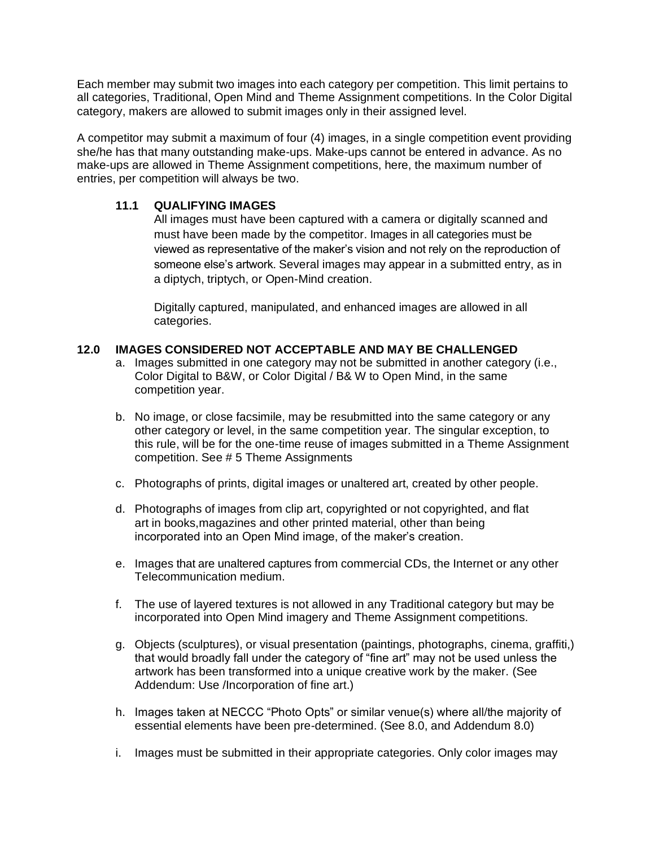Each member may submit two images into each category per competition. This limit pertains to all categories, Traditional, Open Mind and Theme Assignment competitions. In the Color Digital category, makers are allowed to submit images only in their assigned level.

A competitor may submit a maximum of four (4) images, in a single competition event providing she/he has that many outstanding make-ups. Make-ups cannot be entered in advance. As no make-ups are allowed in Theme Assignment competitions, here, the maximum number of entries, per competition will always be two.

#### **11.1 QUALIFYING IMAGES**

All images must have been captured with a camera or digitally scanned and must have been made by the competitor. Images in all categories must be viewed as representative of the maker's vision and not rely on the reproduction of someone else's artwork. Several images may appear in a submitted entry, as in a diptych, triptych, or Open-Mind creation.

Digitally captured, manipulated, and enhanced images are allowed in all categories.

#### **12.0 IMAGES CONSIDERED NOT ACCEPTABLE AND MAY BE CHALLENGED**

- a. Images submitted in one category may not be submitted in another category (i.e., Color Digital to B&W, or Color Digital / B& W to Open Mind, in the same competition year.
- b. No image, or close facsimile, may be resubmitted into the same category or any other category or level, in the same competition year. The singular exception, to this rule, will be for the one-time reuse of images submitted in a Theme Assignment competition. See # 5 Theme Assignments
- c. Photographs of prints, digital images or unaltered art, created by other people.
- d. Photographs of images from clip art, copyrighted or not copyrighted, and flat art in books,magazines and other printed material, other than being incorporated into an Open Mind image, of the maker's creation.
- e. Images that are unaltered captures from commercial CDs, the Internet or any other Telecommunication medium.
- f. The use of layered textures is not allowed in any Traditional category but may be incorporated into Open Mind imagery and Theme Assignment competitions.
- g. Objects (sculptures), or visual presentation (paintings, photographs, cinema, graffiti,) that would broadly fall under the category of "fine art" may not be used unless the artwork has been transformed into a unique creative work by the maker. (See Addendum: Use /Incorporation of fine art.)
- h. Images taken at NECCC "Photo Opts" or similar venue(s) where all/the majority of essential elements have been pre-determined. (See 8.0, and Addendum 8.0)
- i. Images must be submitted in their appropriate categories. Only color images may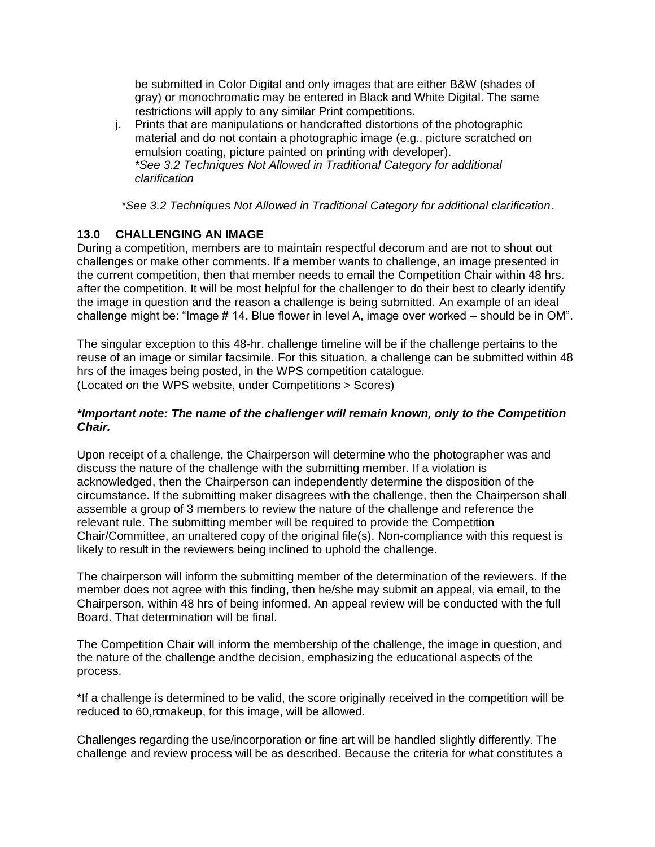be submitted in Color Digital and only images that are either B&W (shades of gray) or monochromatic may be entered in Black and White Digital. The same restrictions will apply to any similar Print competitions.

j. Prints that are manipulations or handcrafted distortions of the photographic material and do not contain a photographic image (e.g., picture scratched on emulsion coating, picture painted on printing with developer). *\*See 3.2 Techniques Not Allowed in Traditional Category for additional clarification*

*\*See 3.2 Techniques Not Allowed in Traditional Category for additional clarification*.

#### **13.0 CHALLENGING AN IMAGE**

During a competition, members are to maintain respectful decorum and are not to shout out challenges or make other comments. If a member wants to challenge, an image presented in the current competition, then that member needs to email the Competition Chair within 48 hrs. after the competition. It will be most helpful for the challenger to do their best to clearly identify the image in question and the reason a challenge is being submitted. An example of an ideal challenge might be: "Image # 14. Blue flower in level A, image over worked – should be in OM".

The singular exception to this 48-hr. challenge timeline will be if the challenge pertains to the reuse of an image or similar facsimile. For this situation, a challenge can be submitted within 48 hrs of the images being posted, in the WPS competition catalogue. (Located on the WPS website, under Competitions > Scores)

#### *\*Important note: The name of the challenger will remain known, only to the Competition Chair.*

Upon receipt of a challenge, the Chairperson will determine who the photographer was and discuss the nature of the challenge with the submitting member. If a violation is acknowledged, then the Chairperson can independently determine the disposition of the circumstance. If the submitting maker disagrees with the challenge, then the Chairperson shall assemble a group of 3 members to review the nature of the challenge and reference the relevant rule. The submitting member will be required to provide the Competition Chair/Committee, an unaltered copy of the original file(s). Non-compliance with this request is likely to result in the reviewers being inclined to uphold the challenge.

The chairperson will inform the submitting member of the determination of the reviewers. If the member does not agree with this finding, then he/she may submit an appeal, via email, to the Chairperson, within 48 hrs of being informed. An appeal review will be conducted with the full Board. That determination will be final.

The Competition Chair will inform the membership of the challenge, the image in question, and the nature of the challenge andthe decision, emphasizing the educational aspects of the process.

\*If a challenge is determined to be valid, the score originally received in the competition will be reduced to 60, romakeup, for this image, will be allowed.

Challenges regarding the use/incorporation or fine art will be handled slightly differently. The challenge and review process will be as described. Because the criteria for what constitutes a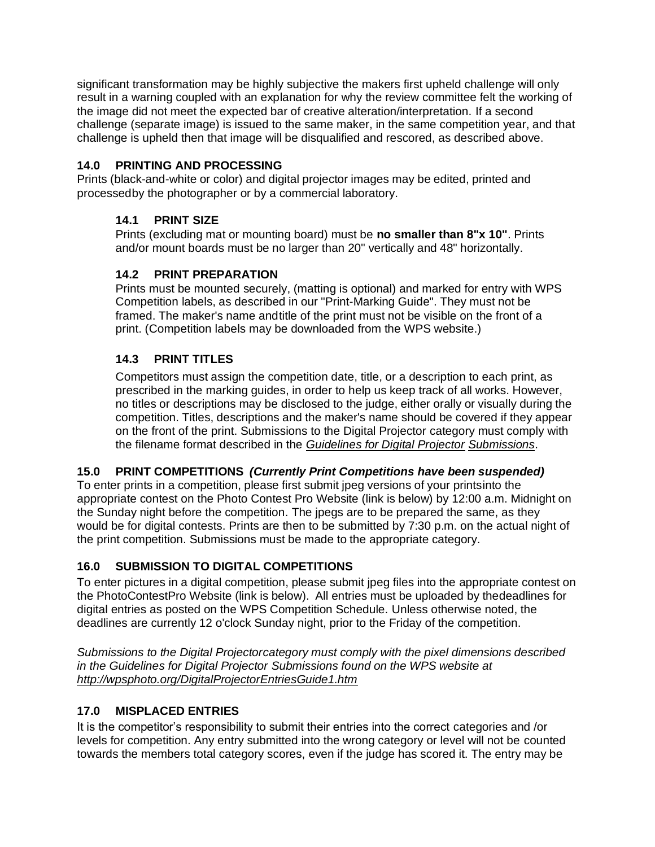significant transformation may be highly subjective the makers first upheld challenge will only result in a warning coupled with an explanation for why the review committee felt the working of the image did not meet the expected bar of creative alteration/interpretation. If a second challenge (separate image) is issued to the same maker, in the same competition year, and that challenge is upheld then that image will be disqualified and rescored, as described above.

# **14.0 PRINTING AND PROCESSING**

Prints (black-and-white or color) and digital projector images may be edited, printed and processedby the photographer or by a commercial laboratory.

# **14.1 PRINT SIZE**

Prints (excluding mat or mounting board) must be **no smaller than 8"x 10"**. Prints and/or mount boards must be no larger than 20" vertically and 48" horizontally.

# **14.2 PRINT PREPARATION**

Prints must be mounted securely, (matting is optional) and marked for entry with WPS Competition labels, as described in our "Print-Marking Guide". They must not be framed. The maker's name andtitle of the print must not be visible on the front of a print. (Competition labels may be downloaded from the WPS website.)

# **14.3 PRINT TITLES**

Competitors must assign the competition date, title, or a description to each print, as prescribed in the marking guides, in order to help us keep track of all works. However, no titles or descriptions may be disclosed to the judge, either orally or visually during the competition. Titles, descriptions and the maker's name should be covered if they appear on the front of the print. Submissions to the Digital Projector category must comply with the filename format described in the *Guidelines for Digital Projector Submissions*.

# **15.0 PRINT COMPETITIONS** *(Currently Print Competitions have been suspended)*

To enter prints in a competition, please first submit jpeg versions of your printsinto the appropriate contest on the Photo Contest Pro Website (link is below) by 12:00 a.m. Midnight on the Sunday night before the competition. The jpegs are to be prepared the same, as they would be for digital contests. Prints are then to be submitted by 7:30 p.m. on the actual night of the print competition. Submissions must be made to the appropriate category.

# **16.0 SUBMISSION TO DIGITAL COMPETITIONS**

To enter pictures in a digital competition, please submit jpeg files into the appropriate contest on the PhotoContestPro Website (link is below). All entries must be uploaded by thedeadlines for digital entries as posted on the WPS Competition Schedule. Unless otherwise noted, the deadlines are currently 12 o'clock Sunday night, prior to the Friday of the competition.

*Submissions to the Digital Projectorcategory must comply with the pixel dimensions described in the Guidelines for Digital Projector Submissions found on the WPS website at <http://wpsphoto.org/DigitalProjectorEntriesGuide1.htm>*

# **17.0 MISPLACED ENTRIES**

It is the competitor's responsibility to submit their entries into the correct categories and /or levels for competition. Any entry submitted into the wrong category or level will not be counted towards the members total category scores, even if the judge has scored it. The entry may be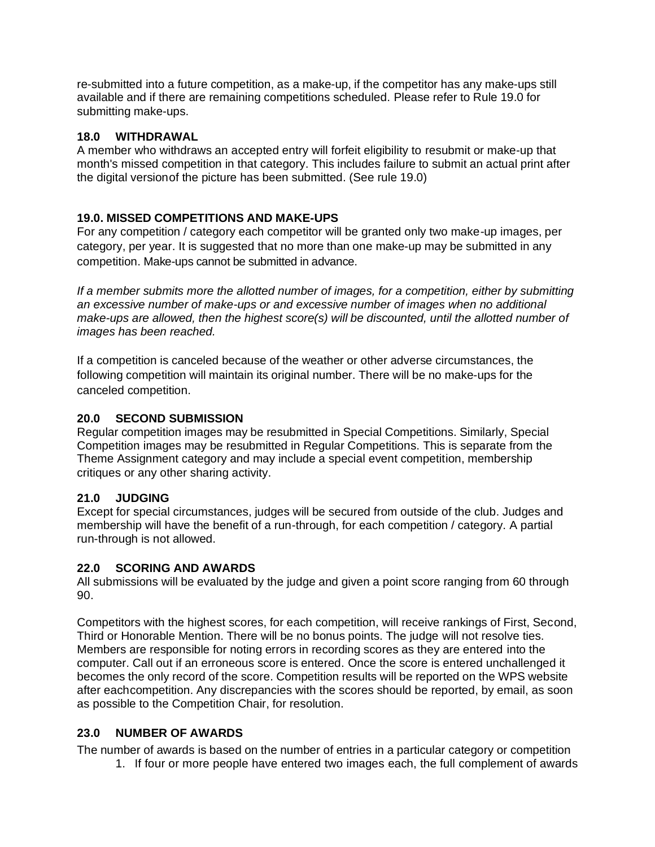re-submitted into a future competition, as a make-up, if the competitor has any make-ups still available and if there are remaining competitions scheduled. Please refer to Rule 19.0 for submitting make-ups.

#### **18.0 WITHDRAWAL**

A member who withdraws an accepted entry will forfeit eligibility to resubmit or make-up that month's missed competition in that category. This includes failure to submit an actual print after the digital versionof the picture has been submitted. (See rule 19.0)

#### **19.0. MISSED COMPETITIONS AND MAKE-UPS**

For any competition / category each competitor will be granted only two make-up images, per category, per year. It is suggested that no more than one make-up may be submitted in any competition. Make-ups cannot be submitted in advance.

*If a member submits more the allotted number of images, for a competition, either by submitting an excessive number of make-ups or and excessive number of images when no additional make-ups are allowed, then the highest score(s) will be discounted, until the allotted number of images has been reached.*

If a competition is canceled because of the weather or other adverse circumstances, the following competition will maintain its original number. There will be no make-ups for the canceled competition.

#### **20.0 SECOND SUBMISSION**

Regular competition images may be resubmitted in Special Competitions. Similarly, Special Competition images may be resubmitted in Regular Competitions. This is separate from the Theme Assignment category and may include a special event competition, membership critiques or any other sharing activity.

#### **21.0 JUDGING**

Except for special circumstances, judges will be secured from outside of the club. Judges and membership will have the benefit of a run-through, for each competition / category. A partial run-through is not allowed.

#### **22.0 SCORING AND AWARDS**

All submissions will be evaluated by the judge and given a point score ranging from 60 through 90.

Competitors with the highest scores, for each competition, will receive rankings of First, Second, Third or Honorable Mention. There will be no bonus points. The judge will not resolve ties. Members are responsible for noting errors in recording scores as they are entered into the computer. Call out if an erroneous score is entered. Once the score is entered unchallenged it becomes the only record of the score. Competition results will be reported on the WPS website after eachcompetition. Any discrepancies with the scores should be reported, by email, as soon as possible to the Competition Chair, for resolution.

#### **23.0 NUMBER OF AWARDS**

The number of awards is based on the number of entries in a particular category or competition

1. If four or more people have entered two images each, the full complement of awards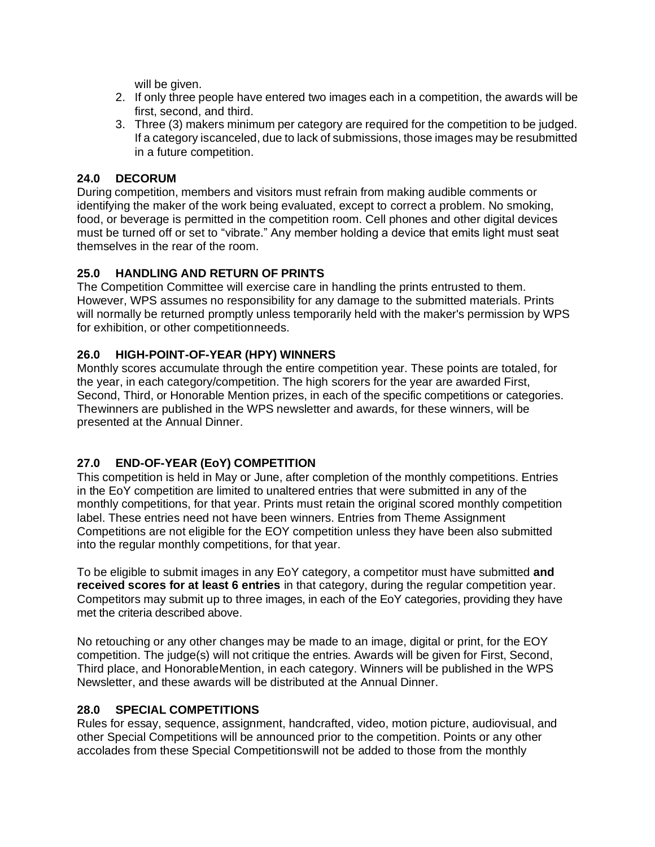will be given.

- 2. If only three people have entered two images each in a competition, the awards will be first, second, and third.
- 3. Three (3) makers minimum per category are required for the competition to be judged. If a category iscanceled, due to lack of submissions, those images may be resubmitted in a future competition.

#### **24.0 DECORUM**

During competition, members and visitors must refrain from making audible comments or identifying the maker of the work being evaluated, except to correct a problem. No smoking, food, or beverage is permitted in the competition room. Cell phones and other digital devices must be turned off or set to "vibrate." Any member holding a device that emits light must seat themselves in the rear of the room.

#### **25.0 HANDLING AND RETURN OF PRINTS**

The Competition Committee will exercise care in handling the prints entrusted to them. However, WPS assumes no responsibility for any damage to the submitted materials. Prints will normally be returned promptly unless temporarily held with the maker's permission by WPS for exhibition, or other competitionneeds.

#### **26.0 HIGH-POINT-OF-YEAR (HPY) WINNERS**

Monthly scores accumulate through the entire competition year. These points are totaled, for the year, in each category/competition. The high scorers for the year are awarded First, Second, Third, or Honorable Mention prizes, in each of the specific competitions or categories. Thewinners are published in the WPS newsletter and awards, for these winners, will be presented at the Annual Dinner.

# **27.0 END-OF-YEAR (EoY) COMPETITION**

This competition is held in May or June, after completion of the monthly competitions. Entries in the EoY competition are limited to unaltered entries that were submitted in any of the monthly competitions, for that year. Prints must retain the original scored monthly competition label. These entries need not have been winners. Entries from Theme Assignment Competitions are not eligible for the EOY competition unless they have been also submitted into the regular monthly competitions, for that year.

To be eligible to submit images in any EoY category, a competitor must have submitted **and received scores for at least 6 entries** in that category, during the regular competition year. Competitors may submit up to three images, in each of the EoY categories, providing they have met the criteria described above.

No retouching or any other changes may be made to an image, digital or print, for the EOY competition. The judge(s) will not critique the entries. Awards will be given for First, Second, Third place, and HonorableMention, in each category. Winners will be published in the WPS Newsletter, and these awards will be distributed at the Annual Dinner.

#### **28.0 SPECIAL COMPETITIONS**

Rules for essay, sequence, assignment, handcrafted, video, motion picture, audiovisual, and other Special Competitions will be announced prior to the competition. Points or any other accolades from these Special Competitionswill not be added to those from the monthly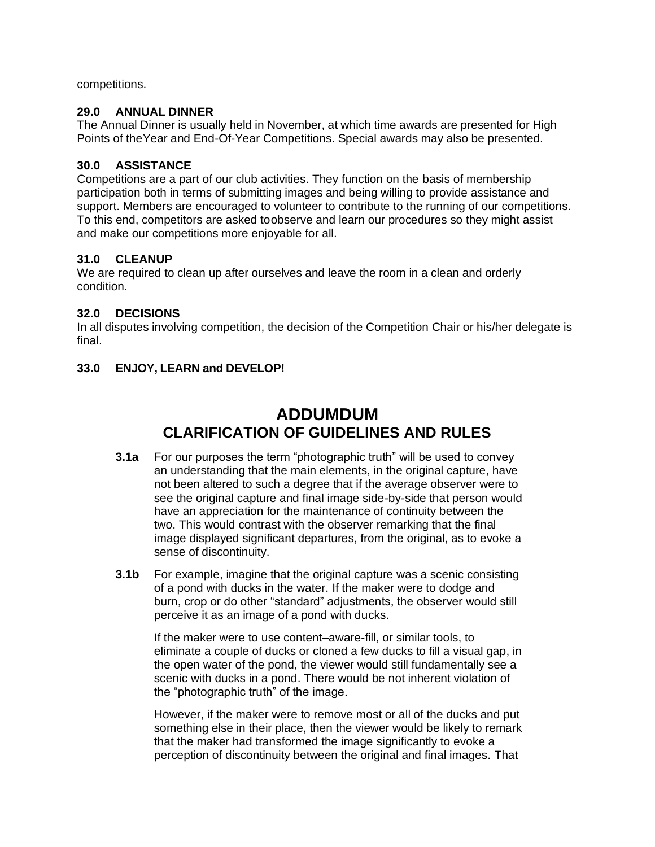competitions.

#### **29.0 ANNUAL DINNER**

The Annual Dinner is usually held in November, at which time awards are presented for High Points of theYear and End-Of-Year Competitions. Special awards may also be presented.

#### **30.0 ASSISTANCE**

Competitions are a part of our club activities. They function on the basis of membership participation both in terms of submitting images and being willing to provide assistance and support. Members are encouraged to volunteer to contribute to the running of our competitions. To this end, competitors are asked toobserve and learn our procedures so they might assist and make our competitions more enjoyable for all.

#### **31.0 CLEANUP**

We are required to clean up after ourselves and leave the room in a clean and orderly condition.

#### **32.0 DECISIONS**

In all disputes involving competition, the decision of the Competition Chair or his/her delegate is final.

#### **33.0 ENJOY, LEARN and DEVELOP!**

# **ADDUMDUM CLARIFICATION OF GUIDELINES AND RULES**

- **3.1a** For our purposes the term "photographic truth" will be used to convey an understanding that the main elements, in the original capture, have not been altered to such a degree that if the average observer were to see the original capture and final image side-by-side that person would have an appreciation for the maintenance of continuity between the two. This would contrast with the observer remarking that the final image displayed significant departures, from the original, as to evoke a sense of discontinuity.
- **3.1b** For example, imagine that the original capture was a scenic consisting of a pond with ducks in the water. If the maker were to dodge and burn, crop or do other "standard" adjustments, the observer would still perceive it as an image of a pond with ducks.

If the maker were to use content–aware-fill, or similar tools, to eliminate a couple of ducks or cloned a few ducks to fill a visual gap, in the open water of the pond, the viewer would still fundamentally see a scenic with ducks in a pond. There would be not inherent violation of the "photographic truth" of the image.

However, if the maker were to remove most or all of the ducks and put something else in their place, then the viewer would be likely to remark that the maker had transformed the image significantly to evoke a perception of discontinuity between the original and final images. That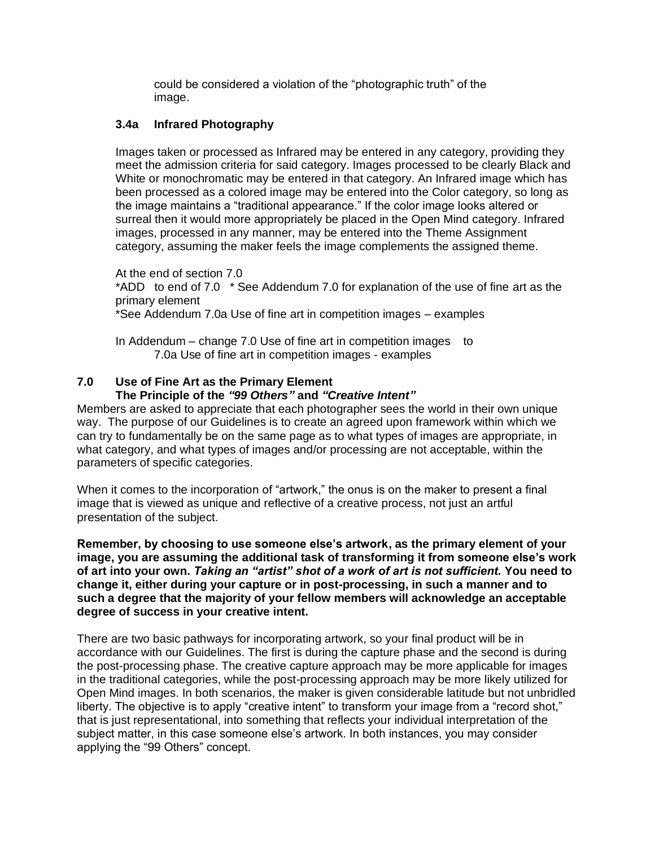could be considered a violation of the "photographic truth" of the image.

#### **3.4a Infrared Photography**

Images taken or processed as Infrared may be entered in any category, providing they meet the admission criteria for said category. Images processed to be clearly Black and White or monochromatic may be entered in that category. An Infrared image which has been processed as a colored image may be entered into the Color category, so long as the image maintains a "traditional appearance." If the color image looks altered or surreal then it would more appropriately be placed in the Open Mind category. Infrared images, processed in any manner, may be entered into the Theme Assignment category, assuming the maker feels the image complements the assigned theme.

At the end of section 7.0 \*ADD to end of 7.0 \* See Addendum 7.0 for explanation of the use of fine art as the primary element \*See Addendum 7.0a Use of fine art in competition images – examples

In Addendum – change 7.0 Use of fine art in competition images to 7.0a Use of fine art in competition images - examples

#### **7.0 Use of Fine Art as the Primary Element The Principle of the** *"99 Others"* **and** *"Creative Intent"*

Members are asked to appreciate that each photographer sees the world in their own unique way. The purpose of our Guidelines is to create an agreed upon framework within which we can try to fundamentally be on the same page as to what types of images are appropriate, in what category, and what types of images and/or processing are not acceptable, within the parameters of specific categories.

When it comes to the incorporation of "artwork," the onus is on the maker to present a final image that is viewed as unique and reflective of a creative process, not just an artful presentation of the subject.

**Remember, by choosing to use someone else's artwork, as the primary element of your image, you are assuming the additional task of transforming it from someone else's work of art into your own.** *Taking an "artist" shot of a work of art is not sufficient.* **You need to change it, either during your capture or in post-processing, in such a manner and to such a degree that the majority of your fellow members will acknowledge an acceptable degree of success in your creative intent.** 

There are two basic pathways for incorporating artwork, so your final product will be in accordance with our Guidelines. The first is during the capture phase and the second is during the post-processing phase. The creative capture approach may be more applicable for images in the traditional categories, while the post-processing approach may be more likely utilized for Open Mind images. In both scenarios, the maker is given considerable latitude but not unbridled liberty. The objective is to apply "creative intent" to transform your image from a "record shot," that is just representational, into something that reflects your individual interpretation of the subject matter, in this case someone else's artwork. In both instances, you may consider applying the "99 Others" concept.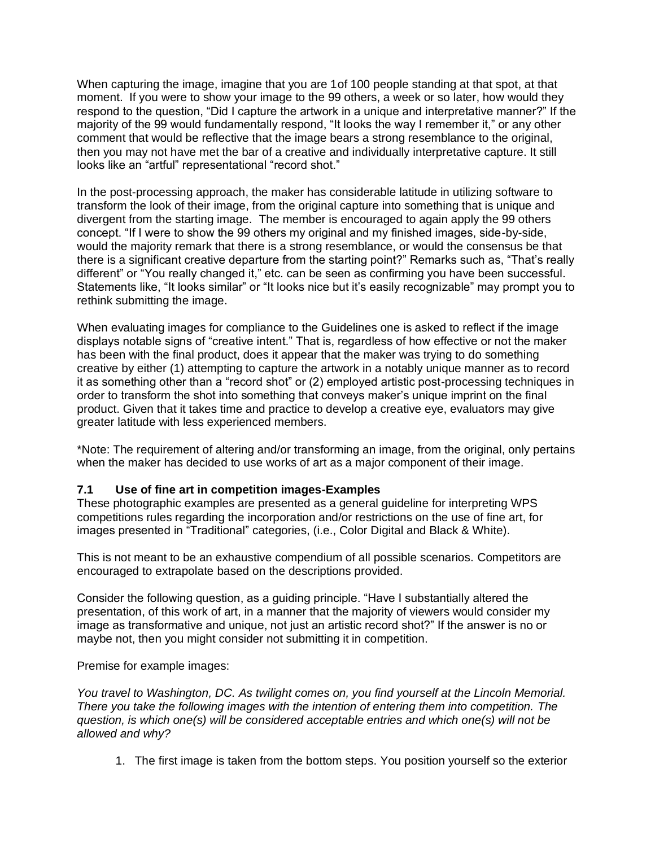When capturing the image, imagine that you are 1of 100 people standing at that spot, at that moment. If you were to show your image to the 99 others, a week or so later, how would they respond to the question, "Did I capture the artwork in a unique and interpretative manner?" If the majority of the 99 would fundamentally respond, "It looks the way I remember it," or any other comment that would be reflective that the image bears a strong resemblance to the original, then you may not have met the bar of a creative and individually interpretative capture. It still looks like an "artful" representational "record shot."

In the post-processing approach, the maker has considerable latitude in utilizing software to transform the look of their image, from the original capture into something that is unique and divergent from the starting image. The member is encouraged to again apply the 99 others concept. "If I were to show the 99 others my original and my finished images, side-by-side, would the majority remark that there is a strong resemblance, or would the consensus be that there is a significant creative departure from the starting point?" Remarks such as, "That's really different" or "You really changed it," etc. can be seen as confirming you have been successful. Statements like, "It looks similar" or "It looks nice but it's easily recognizable" may prompt you to rethink submitting the image.

When evaluating images for compliance to the Guidelines one is asked to reflect if the image displays notable signs of "creative intent." That is, regardless of how effective or not the maker has been with the final product, does it appear that the maker was trying to do something creative by either (1) attempting to capture the artwork in a notably unique manner as to record it as something other than a "record shot" or (2) employed artistic post-processing techniques in order to transform the shot into something that conveys maker's unique imprint on the final product. Given that it takes time and practice to develop a creative eye, evaluators may give greater latitude with less experienced members.

\*Note: The requirement of altering and/or transforming an image, from the original, only pertains when the maker has decided to use works of art as a major component of their image.

#### **7.1 Use of fine art in competition images-Examples**

These photographic examples are presented as a general guideline for interpreting WPS competitions rules regarding the incorporation and/or restrictions on the use of fine art, for images presented in "Traditional" categories, (i.e., Color Digital and Black & White).

This is not meant to be an exhaustive compendium of all possible scenarios. Competitors are encouraged to extrapolate based on the descriptions provided.

Consider the following question, as a guiding principle. "Have I substantially altered the presentation, of this work of art, in a manner that the majority of viewers would consider my image as transformative and unique, not just an artistic record shot?" If the answer is no or maybe not, then you might consider not submitting it in competition.

Premise for example images:

*You travel to Washington, DC. As twilight comes on, you find yourself at the Lincoln Memorial. There you take the following images with the intention of entering them into competition. The question, is which one(s) will be considered acceptable entries and which one(s) will not be allowed and why?*

1. The first image is taken from the bottom steps. You position yourself so the exterior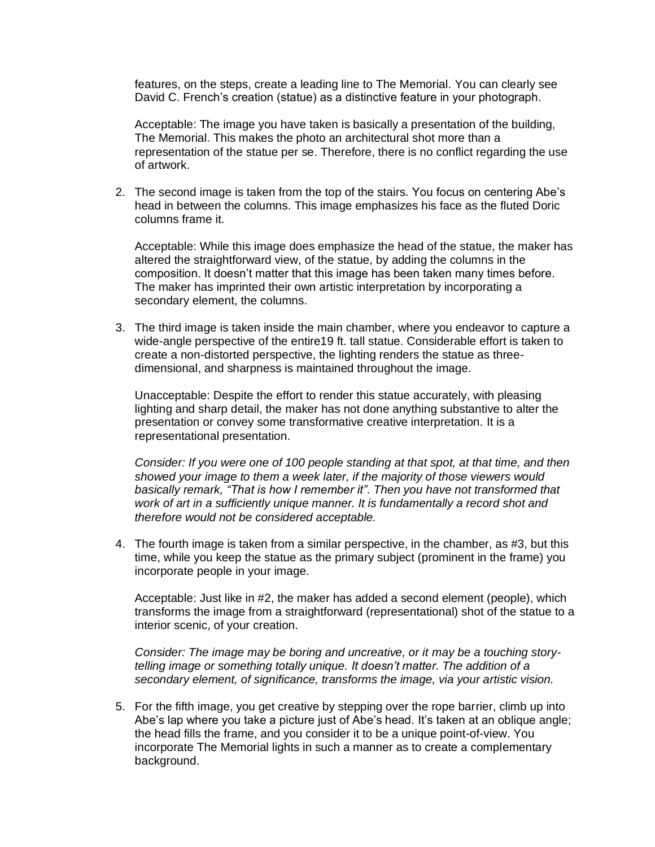features, on the steps, create a leading line to The Memorial. You can clearly see David C. French's creation (statue) as a distinctive feature in your photograph.

Acceptable: The image you have taken is basically a presentation of the building, The Memorial. This makes the photo an architectural shot more than a representation of the statue per se. Therefore, there is no conflict regarding the use of artwork.

2. The second image is taken from the top of the stairs. You focus on centering Abe's head in between the columns. This image emphasizes his face as the fluted Doric columns frame it.

Acceptable: While this image does emphasize the head of the statue, the maker has altered the straightforward view, of the statue, by adding the columns in the composition. It doesn't matter that this image has been taken many times before. The maker has imprinted their own artistic interpretation by incorporating a secondary element, the columns.

3. The third image is taken inside the main chamber, where you endeavor to capture a wide-angle perspective of the entire19 ft. tall statue. Considerable effort is taken to create a non-distorted perspective, the lighting renders the statue as threedimensional, and sharpness is maintained throughout the image.

Unacceptable: Despite the effort to render this statue accurately, with pleasing lighting and sharp detail, the maker has not done anything substantive to alter the presentation or convey some transformative creative interpretation. It is a representational presentation.

*Consider: If you were one of 100 people standing at that spot, at that time, and then showed your image to them a week later, if the majority of those viewers would basically remark, "That is how I remember it". Then you have not transformed that work of art in a sufficiently unique manner. It is fundamentally a record shot and therefore would not be considered acceptable.*

4. The fourth image is taken from a similar perspective, in the chamber, as #3, but this time, while you keep the statue as the primary subject (prominent in the frame) you incorporate people in your image.

Acceptable: Just like in #2, the maker has added a second element (people), which transforms the image from a straightforward (representational) shot of the statue to a interior scenic, of your creation.

*Consider: The image may be boring and uncreative, or it may be a touching storytelling image or something totally unique. It doesn't matter. The addition of a secondary element, of significance, transforms the image, via your artistic vision.*

5. For the fifth image, you get creative by stepping over the rope barrier, climb up into Abe's lap where you take a picture just of Abe's head. It's taken at an oblique angle; the head fills the frame, and you consider it to be a unique point-of-view. You incorporate The Memorial lights in such a manner as to create a complementary background.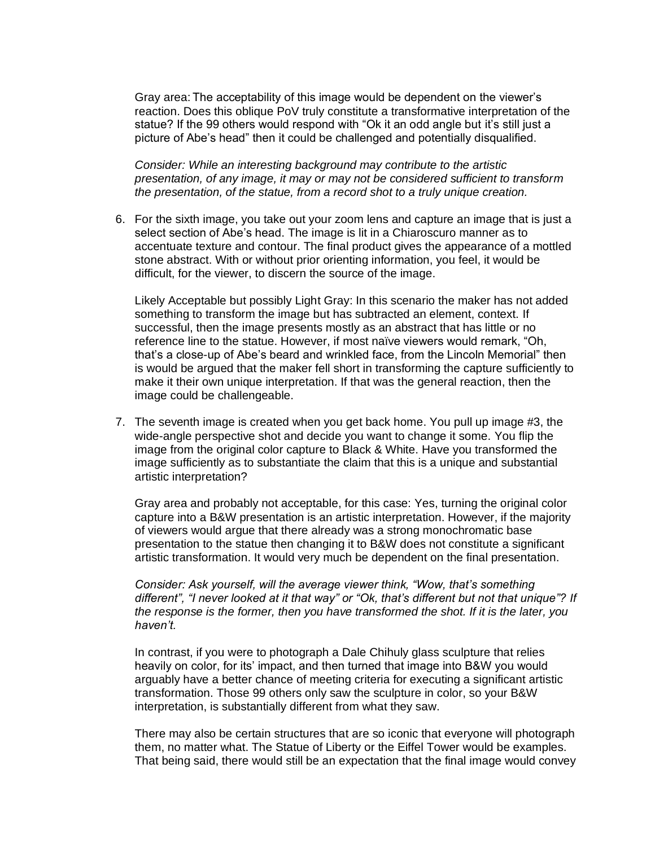Gray area: The acceptability of this image would be dependent on the viewer's reaction. Does this oblique PoV truly constitute a transformative interpretation of the statue? If the 99 others would respond with "Ok it an odd angle but it's still just a picture of Abe's head" then it could be challenged and potentially disqualified.

*Consider: While an interesting background may contribute to the artistic presentation, of any image, it may or may not be considered sufficient to transform the presentation, of the statue, from a record shot to a truly unique creation.*

6. For the sixth image, you take out your zoom lens and capture an image that is just a select section of Abe's head. The image is lit in a Chiaroscuro manner as to accentuate texture and contour. The final product gives the appearance of a mottled stone abstract. With or without prior orienting information, you feel, it would be difficult, for the viewer, to discern the source of the image.

Likely Acceptable but possibly Light Gray: In this scenario the maker has not added something to transform the image but has subtracted an element, context. If successful, then the image presents mostly as an abstract that has little or no reference line to the statue. However, if most naïve viewers would remark, "Oh, that's a close-up of Abe's beard and wrinkled face, from the Lincoln Memorial" then is would be argued that the maker fell short in transforming the capture sufficiently to make it their own unique interpretation. If that was the general reaction, then the image could be challengeable.

7. The seventh image is created when you get back home. You pull up image #3, the wide-angle perspective shot and decide you want to change it some. You flip the image from the original color capture to Black & White. Have you transformed the image sufficiently as to substantiate the claim that this is a unique and substantial artistic interpretation?

Gray area and probably not acceptable, for this case: Yes, turning the original color capture into a B&W presentation is an artistic interpretation. However, if the majority of viewers would argue that there already was a strong monochromatic base presentation to the statue then changing it to B&W does not constitute a significant artistic transformation. It would very much be dependent on the final presentation.

*Consider: Ask yourself, will the average viewer think, "Wow, that's something different", "I never looked at it that way" or "Ok, that's different but not that unique"? If the response is the former, then you have transformed the shot. If it is the later, you haven't.* 

In contrast, if you were to photograph a Dale Chihuly glass sculpture that relies heavily on color, for its' impact, and then turned that image into B&W you would arguably have a better chance of meeting criteria for executing a significant artistic transformation. Those 99 others only saw the sculpture in color, so your B&W interpretation, is substantially different from what they saw.

There may also be certain structures that are so iconic that everyone will photograph them, no matter what. The Statue of Liberty or the Eiffel Tower would be examples. That being said, there would still be an expectation that the final image would convey